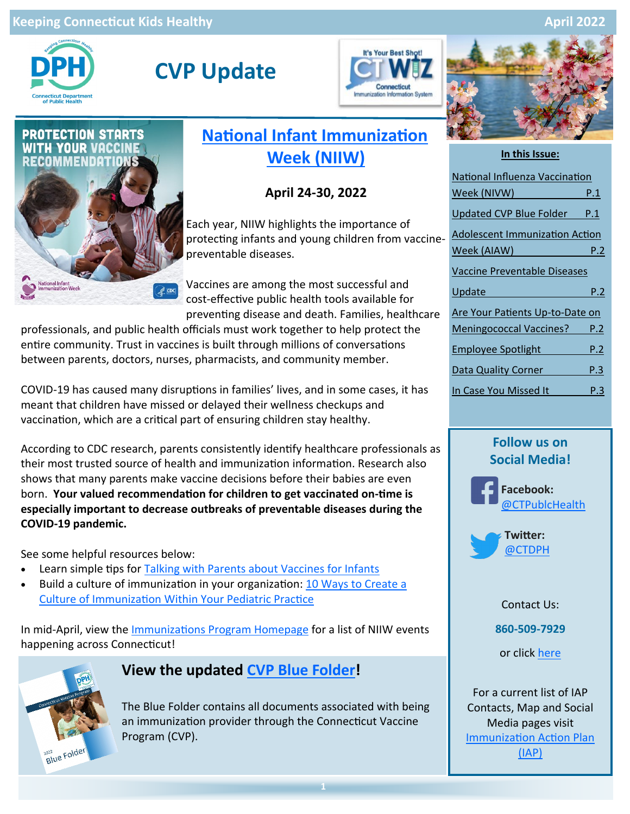#### **Keeping Connecticut Kids Healthy April 2022**



# **CVP Update**





# **[National Infant Immunization](https://www.cdc.gov/vaccines/events/niiw/index.html)  [Week \(NIIW\)](https://www.cdc.gov/vaccines/events/niiw/index.html)**

### **April 24-30, 2022**

Each year, NIIW highlights the importance of protecting infants and young children from vaccinepreventable diseases.

Vaccines are among the most successful and cost-effective public health tools available for preventing disease and death. Families, healthcare

professionals, and public health officials must work together to help protect the entire community. Trust in vaccines is built through millions of conversations between parents, doctors, nurses, pharmacists, and community member.

COVID-19 has caused many disruptions in families' lives, and in some cases, it has meant that children have missed or delayed their wellness checkups and vaccination, which are a critical part of ensuring children stay healthy.

According to CDC research, parents consistently identify healthcare professionals as their most trusted source of health and immunization information. Research also shows that many parents make vaccine decisions before their babies are even born. **Your valued recommendation for children to get vaccinated on-time is especially important to decrease outbreaks of preventable diseases during the COVID-19 pandemic.**

See some helpful resources below:

- Learn simple tips for [Talking with Parents about Vaccines for Infants](https://www.cdc.gov/vaccines/hcp/conversations/talking-with-parents.html)
- Build a culture of immunization in your organization: 10 Ways to Create a [Culture of Immunization Within Your Pediatric Practice](https://www.cdc.gov/vaccines/partners/childhood/professionals.html#presentation-10-ways)

In mid-April, view the [Immunizations Program Homepage](https://portal.ct.gov/DPH/Immunizations/CONNECTICUT-IMMUNIZATION--PROGRAM) for a list of NIIW events happening across Connecticut!



### **View the updated [CVP Blue Folder!](https://portal.ct.gov/-/media/Departments-and-Agencies/DPH/dph/infectious_diseases/immunization/CVP-2020/2022-CVP-Communications/Blue-Folder-All-condensed---03-23-22.pdf)**

The Blue Folder contains all documents associated with being an immunization provider through the Connecticut Vaccine Program (CVP).



#### **In this Issue:**

| National Influenza Vaccination        |     |
|---------------------------------------|-----|
| Week (NIVW)                           | P.1 |
| Updated CVP Blue Folder               | P.1 |
| <b>Adolescent Immunization Action</b> |     |
| Week (AIAW)                           | P.2 |
| Vaccine Preventable Diseases          |     |
| Update                                | P.2 |
| Are Your Patients Up-to-Date on       |     |
| Meningococcal Vaccines?               | P.2 |
| <b>Employee Spotlight</b>             | P.2 |
| <b>Data Quality Corner</b>            | P.3 |
| In Case You Missed It                 | Р.З |

### **Follow us on Social Media!**





Contact Us:

**860-509-7929** 

or click [here](https://portal.ct.gov/DPH/Immunizations/CONNECTICUT-IMMUNIZATION--PROGRAM)

For a current list of IAP Contacts, Map and Social Media pages visit [Immunization Action Plan](https://portal.ct.gov/DPH/Immunizations/Immunization-Action-Plan-IAP)  [\(IAP\)](https://portal.ct.gov/DPH/Immunizations/Immunization-Action-Plan-IAP)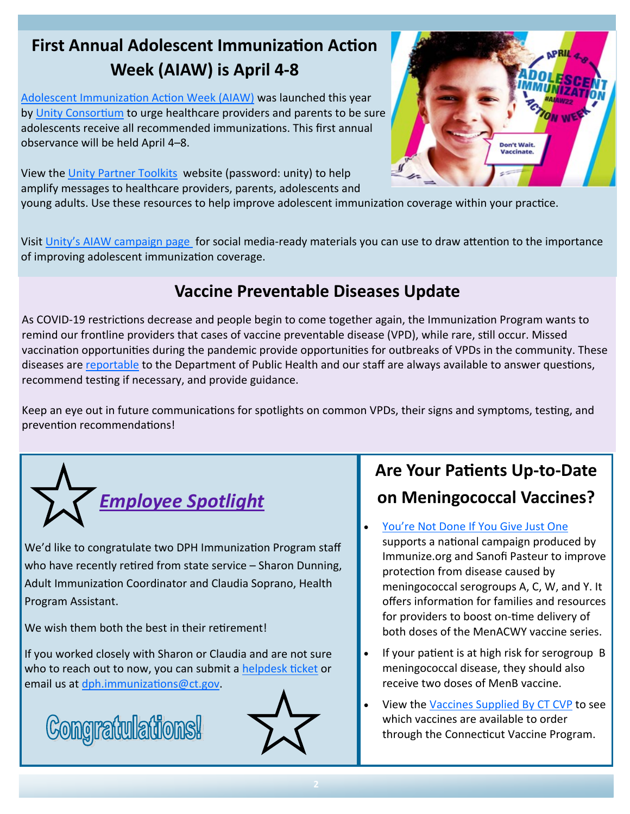# **First Annual Adolescent Immunization Action Week (AIAW) is April 4-8**

[Adolescent Immunization Action Week \(AIAW\)](https://gcc02.safelinks.protection.outlook.com/?url=https%3A%2F%2Fimmunize.us1.list-manage.com%2Ftrack%2Fclick%3Fu%3D69948816469e0f4801f8647ee%26id%3D6906176133%26e%3D9149441fc4&data=04%7C01%7CLaurie.Anderson%40ct.gov%7Ce847f01f7d064ee2916408da07340473%7C118b) was launched this year by [Unity Consortium](https://gcc02.safelinks.protection.outlook.com/?url=https%3A%2F%2Fimmunize.us1.list-manage.com%2Ftrack%2Fclick%3Fu%3D69948816469e0f4801f8647ee%26id%3D45b3b6dd47%26e%3D9149441fc4&data=04%7C01%7CLaurie.Anderson%40ct.gov%7Ce847f01f7d064ee2916408da07340473%7C118b) to urge healthcare providers and parents to be sure adolescents receive all recommended immunizations. This first annual observance will be held April 4–8.



View the [Unity Partner Toolkits](https://gcc02.safelinks.protection.outlook.com/?url=https%3A%2F%2Fimmunize.us1.list-manage.com%2Ftrack%2Fclick%3Fu%3D69948816469e0f4801f8647ee%26id%3Dd83a0464bd%26e%3D9149441fc4&data=04%7C01%7CLaurie.Anderson%40ct.gov%7Ce847f01f7d064ee2916408da07340473%7C118b) website (password: unity) to help amplify messages to healthcare providers, parents, adolescents and

young adults. Use these resources to help improve adolescent immunization coverage within your practice.

Visit Unity'[s AIAW campaign page](https://gcc02.safelinks.protection.outlook.com/?url=https%3A%2F%2Fimmunize.us1.list-manage.com%2Ftrack%2Fclick%3Fu%3D69948816469e0f4801f8647ee%26id%3D4b451e7e97%26e%3D9149441fc4&data=04%7C01%7CLaurie.Anderson%40ct.gov%7Ce847f01f7d064ee2916408da07340473%7C118b) for social media-ready materials you can use to draw attention to the importance of improving adolescent immunization coverage.

# **Vaccine Preventable Diseases Update**

As COVID-19 restrictions decrease and people begin to come together again, the Immunization Program wants to remind our frontline providers that cases of vaccine preventable disease (VPD), while rare, still occur. Missed vaccination opportunities during the pandemic provide opportunities for outbreaks of VPDs in the community. These diseases are [reportable](https://portal.ct.gov/DPH/Epidemiology-and-Emerging-Infections/CTEPI/Volumes/41/No1/a2) to the Department of Public Health and our staff are always available to answer questions, recommend testing if necessary, and provide guidance.

Keep an eye out in future communications for spotlights on common VPDs, their signs and symptoms, testing, and prevention recommendations!



We'd like to congratulate two DPH Immunization Program staff who have recently retired from state service – Sharon Dunning, Adult Immunization Coordinator and Claudia Soprano, Health Program Assistant.

We wish them both the best in their retirement!

If you worked closely with Sharon or Claudia and are not sure who to reach out to now, you can submit a [helpdesk ticket](https://dph-cthelpdesk.ct.gov/Ticket) or email us at [dph.immunizations@ct.gov.](mailto:dph.immunizations@ct.gov)





# **Are Your Patients Up-to-Date on Meningococcal Vaccines?**

You're Not Done If You Give Just One

supports a national campaign produced by Immunize.org and Sanofi Pasteur to improve protection from disease caused by meningococcal serogroups A, C, W, and Y. It offers information for families and resources for providers to boost on-time delivery of both doses of the MenACWY vaccine series.

- If your patient is at high risk for serogroup B meningococcal disease, they should also receive two doses of MenB vaccine.
- View the [Vaccines Supplied By CT CVP](https://portal.ct.gov/-/media/Departments-and-Agencies/DPH/dph/infectious_diseases/immunization/CVP-2020/2022-CVP-Communications/Vaccines_Supplied_By_CT_CVP_21522-with-footer.pdf) to see which vaccines are available to order through the Connecticut Vaccine Program.